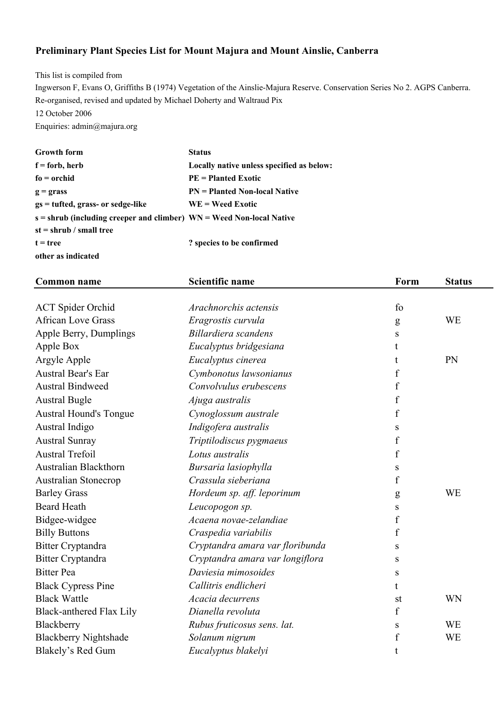## **Preliminary Plant Species List for Mount Majura and Mount Ainslie, Canberra**

This list is compiled from Ingwerson F, Evans O, Griffiths B (1974) Vegetation of the Ainslie-Majura Reserve. Conservation Series No 2. AGPS Canberra. Re-organised, revised and updated by Michael Doherty and Waltraud Pix 12 October 2006 Enquiries: admin@majura.org

| <b>Growth form</b>                                                     | <b>Status</b>                             |
|------------------------------------------------------------------------|-------------------------------------------|
| $f =$ forb, herb                                                       | Locally native unless specified as below: |
| $fo = \text{orchid}$                                                   | $PE = Planted Exotic$                     |
| $g =$ grass                                                            | $PN = Planted Non-local Native$           |
| $gs = tuffed, grass- or sedge-like$                                    | $WE = Weed Exotic$                        |
| $s =$ shrub (including creeper and climber) WN = Weed Non-local Native |                                           |
| $st = shrub / small tree$                                              |                                           |
| $t = tree$                                                             | ? species to be confirmed                 |
| other as indicated                                                     |                                           |

| <b>Common name</b>              | <b>Scientific name</b>          | Form             | <b>Status</b> |
|---------------------------------|---------------------------------|------------------|---------------|
|                                 |                                 |                  |               |
| <b>ACT</b> Spider Orchid        | Arachnorchis actensis           | fo               |               |
| <b>African Love Grass</b>       | Eragrostis curvula              | g                | <b>WE</b>     |
| Apple Berry, Dumplings          | Billardiera scandens            | S                |               |
| Apple Box                       | Eucalyptus bridgesiana          | t                |               |
| Argyle Apple                    | Eucalyptus cinerea              |                  | PN            |
| <b>Austral Bear's Ear</b>       | Cymbonotus lawsonianus          | f                |               |
| <b>Austral Bindweed</b>         | Convolvulus erubescens          | $\boldsymbol{f}$ |               |
| <b>Austral Bugle</b>            | Ajuga australis                 | f                |               |
| <b>Austral Hound's Tongue</b>   | Cynoglossum australe            | f                |               |
| Austral Indigo                  | Indigofera australis            | S                |               |
| <b>Austral Sunray</b>           | Triptilodiscus pygmaeus         | $\boldsymbol{f}$ |               |
| <b>Austral Trefoil</b>          | Lotus australis                 | f                |               |
| <b>Australian Blackthorn</b>    | Bursaria lasiophylla            | S                |               |
| <b>Australian Stonecrop</b>     | Crassula sieberiana             | f                |               |
| <b>Barley Grass</b>             | Hordeum sp. aff. leporinum      | g                | <b>WE</b>     |
| <b>Beard Heath</b>              | Leucopogon sp.                  | S                |               |
| Bidgee-widgee                   | Acaena novae-zelandiae          | $\mathbf f$      |               |
| <b>Billy Buttons</b>            | Craspedia variabilis            | f                |               |
| <b>Bitter Cryptandra</b>        | Cryptandra amara var floribunda | S                |               |
| <b>Bitter Cryptandra</b>        | Cryptandra amara var longiflora | S                |               |
| <b>Bitter Pea</b>               | Daviesia mimosoides             | S                |               |
| <b>Black Cypress Pine</b>       | Callitris endlicheri            | t                |               |
| <b>Black Wattle</b>             | Acacia decurrens                | st               | WN            |
| <b>Black-anthered Flax Lily</b> | Dianella revoluta               | $\mathbf f$      |               |
| Blackberry                      | Rubus fruticosus sens. lat.     | S                | <b>WE</b>     |
| <b>Blackberry Nightshade</b>    | Solanum nigrum                  | f                | WE            |
| Blakely's Red Gum               | Eucalyptus blakelyi             | t                |               |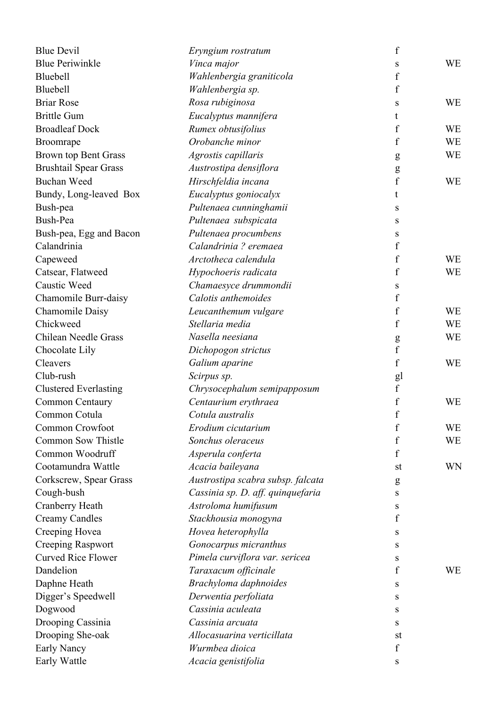| <b>Blue Devil</b>            | Eryngium rostratum                | f                |           |
|------------------------------|-----------------------------------|------------------|-----------|
| <b>Blue Periwinkle</b>       | Vinca major                       | S                | WE        |
| Bluebell                     | Wahlenbergia graniticola          | f                |           |
| Bluebell                     | Wahlenbergia sp.                  | f                |           |
| <b>Briar Rose</b>            | Rosa rubiginosa                   | S                | WE        |
| <b>Brittle Gum</b>           | Eucalyptus mannifera              | t                |           |
| <b>Broadleaf Dock</b>        | Rumex obtusifolius                | $\boldsymbol{f}$ | <b>WE</b> |
| Broomrape                    | Orobanche minor                   | f                | <b>WE</b> |
| Brown top Bent Grass         | Agrostis capillaris               | g                | <b>WE</b> |
| <b>Brushtail Spear Grass</b> | Austrostipa densiflora            | ${\bf g}$        |           |
| <b>Buchan Weed</b>           | Hirschfeldia incana               | f                | <b>WE</b> |
| Bundy, Long-leaved Box       | Eucalyptus goniocalyx             | t                |           |
| Bush-pea                     | Pultenaea cunninghamii            | S                |           |
| Bush-Pea                     | Pultenaea subspicata              | S                |           |
| Bush-pea, Egg and Bacon      | Pultenaea procumbens              | S                |           |
| Calandrinia                  | Calandrinia ? eremaea             | f                |           |
| Capeweed                     | Arctotheca calendula              | f                | WE        |
| Catsear, Flatweed            | Hypochoeris radicata              | f                | WE        |
| <b>Caustic Weed</b>          | Chamaesyce drummondii             | S                |           |
| Chamomile Burr-daisy         | Calotis anthemoides               | f                |           |
| Chamomile Daisy              | Leucanthemum vulgare              | f                | <b>WE</b> |
| Chickweed                    | Stellaria media                   | f                | <b>WE</b> |
| <b>Chilean Needle Grass</b>  | Nasella neesiana                  | ${\sf g}$        | WE        |
| Chocolate Lily               | Dichopogon strictus               | $\mathbf f$      |           |
| Cleavers                     | Galium aparine                    | f                | <b>WE</b> |
| Club-rush                    | Scirpus sp.                       | gl               |           |
| <b>Clustered Everlasting</b> | Chrysocephalum semipapposum       | $\mathbf f$      |           |
| <b>Common Centaury</b>       | Centaurium erythraea              | $\boldsymbol{f}$ | <b>WE</b> |
| Common Cotula                | Cotula australis                  | $\mathbf f$      |           |
| Common Crowfoot              | Erodium cicutarium                | f                | WE        |
| Common Sow Thistle           | Sonchus oleraceus                 | f                | WE        |
| Common Woodruff              | Asperula conferta                 | f                |           |
| Cootamundra Wattle           | Acacia baileyana                  | st               | WN        |
| Corkscrew, Spear Grass       | Austrostipa scabra subsp. falcata | g                |           |
| Cough-bush                   | Cassinia sp. D. aff. quinquefaria | S                |           |
| Cranberry Heath              | Astroloma humifusum               | S                |           |
| <b>Creamy Candles</b>        | Stackhousia monogyna              | f                |           |
| Creeping Hovea               | Hovea heterophylla                | S                |           |
| Creeping Raspwort            | Gonocarpus micranthus             | S                |           |
| <b>Curved Rice Flower</b>    | Pimela curviflora var. sericea    | S                |           |
| Dandelion                    | Taraxacum officinale              | f                | WE        |
| Daphne Heath                 | Brachyloma daphnoides             | S                |           |
| Digger's Speedwell           | Derwentia perfoliata              | S                |           |
| Dogwood                      | Cassinia aculeata                 | S                |           |
| Drooping Cassinia            | Cassinia arcuata                  | S                |           |
| Drooping She-oak             | Allocasuarina verticillata        | st               |           |
| Early Nancy                  | Wurmbea dioica                    | f                |           |
| Early Wattle                 | Acacia genistifolia               | S                |           |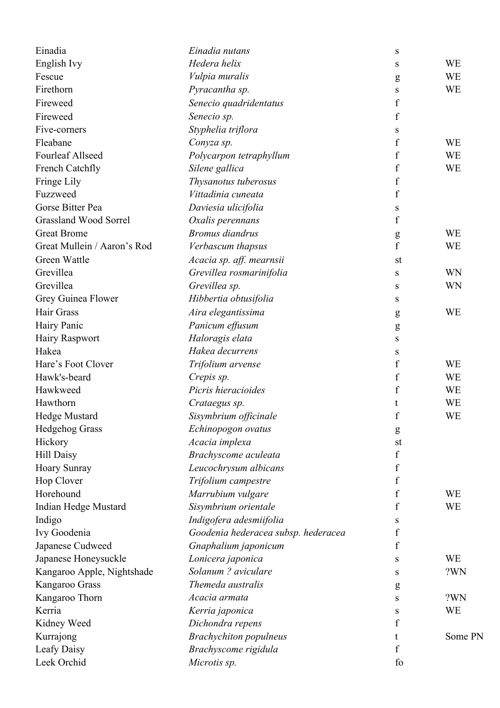| Einadia                      | Einadia nutans                           | S                  |           |
|------------------------------|------------------------------------------|--------------------|-----------|
| English Ivy                  | Hedera helix                             | S                  | <b>WE</b> |
| Fescue                       | Vulpia muralis                           | g                  | <b>WE</b> |
| Firethorn                    | Pyracantha sp.                           | S                  | WE        |
| Fireweed                     | Senecio quadridentatus                   | f                  |           |
| Fireweed                     | Senecio sp.                              | $\boldsymbol{f}$   |           |
| Five-corners                 | Styphelia triflora                       | S                  |           |
| Fleabane                     | Conyza sp.                               | f                  | WE        |
| <b>Fourleaf Allseed</b>      | Polycarpon tetraphyllum                  | $\boldsymbol{f}$   | WE        |
| French Catchfly              | Silene gallica                           | f                  | <b>WE</b> |
| Fringe Lily                  | Thysanotus tuberosus                     | $\boldsymbol{f}$   |           |
| Fuzzweed                     | Vittadinia cuneata                       | $\boldsymbol{f}$   |           |
| Gorse Bitter Pea             | Daviesia ulicifolia                      | S                  |           |
| <b>Grassland Wood Sorrel</b> | Oxalis perennans                         | $\boldsymbol{f}$   |           |
| <b>Great Brome</b>           | <b>Bromus</b> diandrus                   | g                  | WE        |
| Great Mullein / Aaron's Rod  | Verbascum thapsus                        | $\mathbf f$        | WE        |
| Green Wattle                 | Acacia sp. aff. mearnsii                 | st                 |           |
| Grevillea                    | Grevillea rosmarinifolia                 | S                  | WN        |
| Grevillea                    | Grevillea sp.                            | S                  | WN        |
| Grey Guinea Flower           | Hibbertia obtusifolia                    | S                  |           |
| Hair Grass                   | Aira elegantissima                       |                    | WE        |
| Hairy Panic                  | Panicum effusum                          | g<br>g             |           |
| <b>Hairy Raspwort</b>        | Haloragis elata                          | S                  |           |
| Hakea                        | Hakea decurrens                          | S                  |           |
| Hare's Foot Clover           | Trifolium arvense                        | f                  | WE        |
| Hawk's-beard                 | Crepis sp.                               | $\boldsymbol{f}$   | WE        |
| Hawkweed                     | Picris hieracioides                      | f                  | WE        |
| Hawthorn                     | Crataegus sp.                            | t                  | WE        |
| <b>Hedge Mustard</b>         | Sisymbrium officinale                    | $\boldsymbol{f}$   | WE        |
| <b>Hedgehog Grass</b>        | Echinopogon ovatus                       |                    |           |
| Hickory                      | Acacia implexa                           | $\mathbf{g}$<br>st |           |
| <b>Hill Daisy</b>            | Brachyscome aculeata                     | f                  |           |
| <b>Hoary Sunray</b>          | Leucochrysum albicans                    | $\boldsymbol{f}$   |           |
| Hop Clover                   | Trifolium campestre                      | f                  |           |
| Horehound                    | Marrubium vulgare                        | $\boldsymbol{f}$   | WE        |
| Indian Hedge Mustard         | Sisymbrium orientale                     | f                  | WE        |
| Indigo                       | Indigofera adesmiifolia                  |                    |           |
| Ivy Goodenia                 | Goodenia hederacea subsp. hederacea      | S<br>f             |           |
| Japanese Cudweed             | Gnaphalium japonicum                     | f                  |           |
|                              |                                          |                    | <b>WE</b> |
| Japanese Honeysuckle         | Lonicera japonica<br>Solanum ? aviculare | S                  | ?WN       |
| Kangaroo Apple, Nightshade   | Themeda australis                        | S                  |           |
| Kangaroo Grass               | Acacia armata                            | g                  | ?WN       |
| Kangaroo Thorn               |                                          | S                  |           |
| Kerria                       | Kerria japonica                          | S                  | WE        |
| Kidney Weed                  | Dichondra repens                         | f                  |           |
| Kurrajong                    | <b>Brachychiton</b> populneus            | t                  | Some PN   |
| Leafy Daisy                  | Brachyscome rigidula                     | f                  |           |
| Leek Orchid                  | Microtis sp.                             | fo                 |           |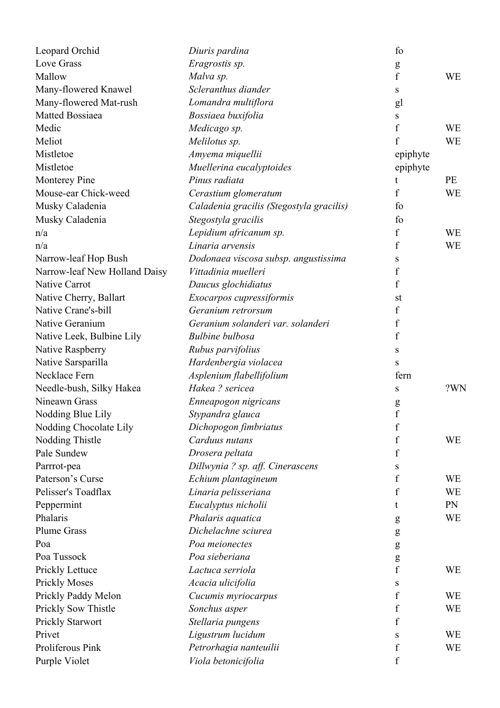| Leopard Orchid                          | Diuris pardina                           | fo                            |           |
|-----------------------------------------|------------------------------------------|-------------------------------|-----------|
| Love Grass                              | Eragrostis sp.                           | g                             |           |
| Mallow                                  | Malva sp.                                | $\mathbf f$                   | <b>WE</b> |
| Many-flowered Knawel                    | Scleranthus diander                      | S                             |           |
| Many-flowered Mat-rush                  | Lomandra multiflora                      | gl                            |           |
| Matted Bossiaea                         | Bossiaea buxifolia                       | S                             |           |
| Medic                                   | Medicago sp.                             | $\boldsymbol{f}$              | <b>WE</b> |
| Meliot                                  | Melilotus sp.                            | f                             | <b>WE</b> |
| Mistletoe                               | Amyema miquellii                         | epiphyte                      |           |
| Mistletoe                               | Muellerina eucalyptoides                 | epiphyte                      |           |
| <b>Monterey Pine</b>                    | Pinus radiata                            | t                             | PE        |
| Mouse-ear Chick-weed                    | Cerastium glomeratum                     | f                             | <b>WE</b> |
| Musky Caladenia                         | Caladenia gracilis (Stegostyla gracilis) | fo                            |           |
| Musky Caladenia                         | Stegostyla gracilis                      | fo                            |           |
| n/a                                     | Lepidium africanum sp.                   | f                             | <b>WE</b> |
| n/a                                     | Linaria arvensis                         | $\boldsymbol{f}$              | <b>WE</b> |
| Narrow-leaf Hop Bush                    | Dodonaea viscosa subsp. angustissima     | S                             |           |
| Narrow-leaf New Holland Daisy           | Vittadinia muelleri                      | $\boldsymbol{f}$              |           |
| Native Carrot                           | Daucus glochidiatus                      | $\boldsymbol{f}$              |           |
| Native Cherry, Ballart                  | Exocarpos cupressiformis                 | st                            |           |
| Native Crane's-bill                     | Geranium retrorsum                       | f                             |           |
| Native Geranium                         | Geranium solanderi var. solanderi        | f                             |           |
| Native Leek, Bulbine Lily               | <b>Bulbine bulbosa</b>                   | $\mathbf f$                   |           |
| Native Raspberry                        | Rubus parvifolius                        | S                             |           |
| Native Sarsparilla                      | Hardenbergia violacea                    | S                             |           |
| Necklace Fern                           | Asplenium flabellifolium                 | fern                          |           |
| Needle-bush, Silky Hakea                | Hakea? sericea                           | S                             | ?WN       |
| Nineawn Grass                           | Enneapogon nigricans                     | g                             |           |
| Nodding Blue Lily                       | Stypandra glauca                         | $\mathbf f$                   |           |
| Nodding Chocolate Lily                  | Dichopogon fimbriatus                    | $\mathbf f$                   |           |
| Nodding Thistle                         | Carduus nutans                           | f                             | <b>WE</b> |
| Pale Sundew                             | Drosera peltata                          | $\mathbf f$                   |           |
| Parrrot-pea                             | Dillwynia ? sp. aff. Cinerascens         | S                             |           |
| Paterson's Curse                        | Echium plantagineum                      | $\boldsymbol{f}$              | <b>WE</b> |
| Pelisser's Toadflax                     | Linaria pelisseriana                     | $\mathbf f$                   | <b>WE</b> |
| Peppermint                              | Eucalyptus nicholii                      | t                             | PN        |
| Phalaris                                | Phalaris aquatica                        |                               | <b>WE</b> |
| <b>Plume Grass</b>                      | Dichelachne sciurea                      | g                             |           |
| Poa                                     | Poa meionectes                           | g                             |           |
| Poa Tussock                             | Poa sieberiana                           | ${\bf g}$                     |           |
| Prickly Lettuce                         | Lactuca serriola                         | ${\bf g}$<br>$\boldsymbol{f}$ | <b>WE</b> |
| <b>Prickly Moses</b>                    | Acacia ulicifolia                        | S                             |           |
| Prickly Paddy Melon                     | Cucumis myriocarpus                      | f                             | <b>WE</b> |
|                                         | Sonchus asper                            | $\boldsymbol{f}$              | <b>WE</b> |
| Prickly Sow Thistle<br>Prickly Starwort | Stellaria pungens                        | f                             |           |
| Privet                                  |                                          |                               | <b>WE</b> |
| Proliferous Pink                        | Ligustrum lucidum                        | S<br>$\boldsymbol{f}$         | <b>WE</b> |
|                                         | Petrorhagia nanteuilii                   |                               |           |
| Purple Violet                           | Viola betonicifolia                      | f                             |           |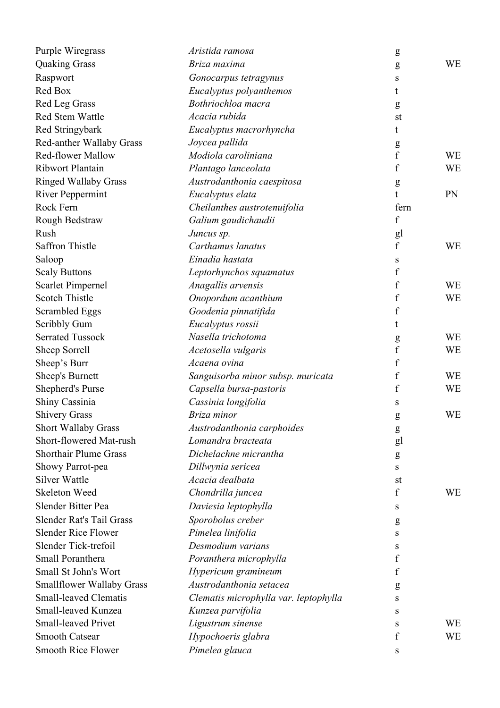| Purple Wiregrass                 | Aristida ramosa                       | g                |           |
|----------------------------------|---------------------------------------|------------------|-----------|
| <b>Quaking Grass</b>             | Briza maxima                          | g                | <b>WE</b> |
| Raspwort                         | Gonocarpus tetragynus                 | S                |           |
| Red Box                          | Eucalyptus polyanthemos               | t                |           |
| Red Leg Grass                    | Bothriochloa macra                    | g                |           |
| <b>Red Stem Wattle</b>           | Acacia rubida                         | st               |           |
| Red Stringybark                  | Eucalyptus macrorhyncha               | t                |           |
| Red-anther Wallaby Grass         | Joycea pallida                        | g                |           |
| <b>Red-flower Mallow</b>         | Modiola caroliniana                   | $\boldsymbol{f}$ | <b>WE</b> |
| Ribwort Plantain                 | Plantago lanceolata                   | $\boldsymbol{f}$ | <b>WE</b> |
| <b>Ringed Wallaby Grass</b>      | Austrodanthonia caespitosa            | $\mathbf{g}$     |           |
| <b>River Peppermint</b>          | Eucalyptus elata                      | t.               | PN        |
| Rock Fern                        | Cheilanthes austrotenuifolia          | fern             |           |
| Rough Bedstraw                   | Galium gaudichaudii                   | $\mathbf f$      |           |
| Rush                             | Juncus sp.                            | gl               |           |
| <b>Saffron Thistle</b>           | Carthamus lanatus                     | $\rm f$          | <b>WE</b> |
| Saloop                           | Einadia hastata                       | S                |           |
| <b>Scaly Buttons</b>             | Leptorhynchos squamatus               | f                |           |
| <b>Scarlet Pimpernel</b>         | Anagallis arvensis                    | f                | <b>WE</b> |
| <b>Scotch Thistle</b>            | Onopordum acanthium                   | $\boldsymbol{f}$ | <b>WE</b> |
| <b>Scrambled Eggs</b>            | Goodenia pinnatifida                  | f                |           |
| Scribbly Gum                     | Eucalyptus rossii                     | t                |           |
| <b>Serrated Tussock</b>          | Nasella trichotoma                    | ${\sf g}$        | <b>WE</b> |
| Sheep Sorrell                    | Acetosella vulgaris                   | $\mathbf f$      | <b>WE</b> |
| Sheep's Burr                     | Acaena ovina                          | f                |           |
| Sheep's Burnett                  | Sanguisorba minor subsp. muricata     | f                | <b>WE</b> |
| Shepherd's Purse                 | Capsella bursa-pastoris               | f                | <b>WE</b> |
| Shiny Cassinia                   | Cassinia longifolia                   | S                |           |
| <b>Shivery Grass</b>             | Briza minor                           | g                | WE        |
| Short Wallaby Grass              | Austrodanthonia carphoides            | ${\bf g}$        |           |
| Short-flowered Mat-rush          | Lomandra bracteata                    | gl               |           |
| <b>Shorthair Plume Grass</b>     | Dichelachne micrantha                 | $\mathbf{g}$     |           |
| Showy Parrot-pea                 | Dillwynia sericea                     | S                |           |
| <b>Silver Wattle</b>             | Acacia dealbata                       | st               |           |
| Skeleton Weed                    | Chondrilla juncea                     | f                | WE        |
| Slender Bitter Pea               | Daviesia leptophylla                  | S                |           |
| Slender Rat's Tail Grass         | Sporobolus creber                     | $\mathbf{g}$     |           |
| <b>Slender Rice Flower</b>       | Pimelea linifolia                     | S                |           |
| Slender Tick-trefoil             | Desmodium varians                     | S                |           |
| Small Poranthera                 | Poranthera microphylla                | f                |           |
| Small St John's Wort             | Hypericum gramineum                   | f                |           |
| <b>Smallflower Wallaby Grass</b> | Austrodanthonia setacea               | g                |           |
| <b>Small-leaved Clematis</b>     | Clematis microphylla var. leptophylla | S                |           |
| Small-leaved Kunzea              | Kunzea parvifolia                     | S                |           |
| <b>Small-leaved Privet</b>       | Ligustrum sinense                     | S                | WE        |
| <b>Smooth Catsear</b>            | Hypochoeris glabra                    | f                | <b>WE</b> |
| <b>Smooth Rice Flower</b>        | Pimelea glauca                        | S                |           |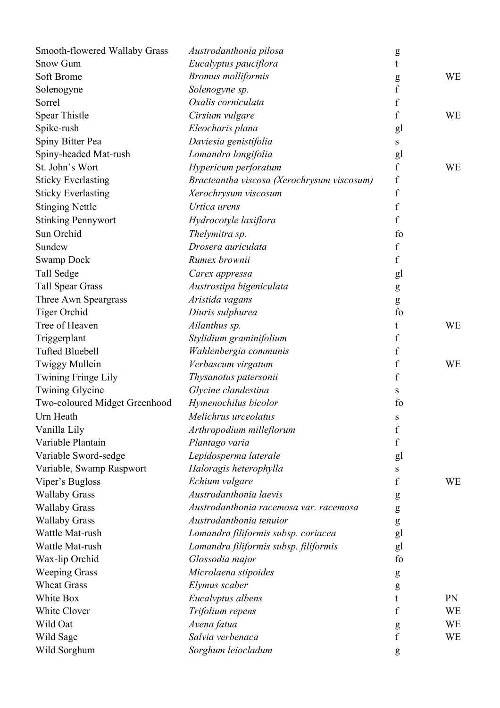| Smooth-flowered Wallaby Grass | Austrodanthonia pilosa                     | g                |           |
|-------------------------------|--------------------------------------------|------------------|-----------|
| <b>Snow Gum</b>               | Eucalyptus pauciflora                      | t                |           |
| Soft Brome                    | <b>Bromus molliformis</b>                  | g                | <b>WE</b> |
| Solenogyne                    | Solenogyne sp.                             | $\rm f$          |           |
| Sorrel                        | Oxalis corniculata                         | f                |           |
| Spear Thistle                 | Cirsium vulgare                            | f                | <b>WE</b> |
| Spike-rush                    | Eleocharis plana                           | gl               |           |
| Spiny Bitter Pea              | Daviesia genistifolia                      | S                |           |
| Spiny-headed Mat-rush         | Lomandra longifolia                        | gl               |           |
| St. John's Wort               | Hypericum perforatum                       | $\rm f$          | <b>WE</b> |
| <b>Sticky Everlasting</b>     | Bracteantha viscosa (Xerochrysum viscosum) | $\boldsymbol{f}$ |           |
| <b>Sticky Everlasting</b>     | Xerochrysum viscosum                       | $\rm f$          |           |
| <b>Stinging Nettle</b>        | Urtica urens                               | $\mathbf f$      |           |
| <b>Stinking Pennywort</b>     | Hydrocotyle laxiflora                      | f                |           |
| Sun Orchid                    | Thelymitra sp.                             | fo               |           |
| Sundew                        | Drosera auriculata                         | $\mathbf f$      |           |
| <b>Swamp Dock</b>             | Rumex brownii                              | f                |           |
| Tall Sedge                    | Carex appressa                             | gl               |           |
| <b>Tall Spear Grass</b>       | Austrostipa bigeniculata                   | g                |           |
| Three Awn Speargrass          | Aristida vagans                            | g                |           |
| <b>Tiger Orchid</b>           | Diuris sulphurea                           | fo               |           |
| Tree of Heaven                | Ailanthus sp.                              | t                | <b>WE</b> |
| Triggerplant                  | Stylidium graminifolium                    | $\mathbf f$      |           |
| <b>Tufted Bluebell</b>        | Wahlenbergia communis                      | f                |           |
| <b>Twiggy Mullein</b>         | Verbascum virgatum                         | f                | <b>WE</b> |
| Twining Fringe Lily           | Thysanotus patersonii                      | $\mathbf f$      |           |
| <b>Twining Glycine</b>        | Glycine clandestina                        | S                |           |
| Two-coloured Midget Greenhood | Hymenochilus bicolor                       | fo               |           |
| Urn Heath                     | Melichrus urceolatus                       | S                |           |
| Vanilla Lily                  | Arthropodium milleflorum                   | f                |           |
| Variable Plantain             | Plantago varia                             | f                |           |
| Variable Sword-sedge          | Lepidosperma laterale                      | gl               |           |
| Variable, Swamp Raspwort      | Haloragis heterophylla                     | S                |           |
| Viper's Bugloss               | Echium vulgare                             | f                | <b>WE</b> |
| <b>Wallaby Grass</b>          | Austrodanthonia laevis                     | g                |           |
| <b>Wallaby Grass</b>          | Austrodanthonia racemosa var. racemosa     | g                |           |
| <b>Wallaby Grass</b>          | Austrodanthonia tenuior                    | g                |           |
| Wattle Mat-rush               | Lomandra filiformis subsp. coriacea        | gl               |           |
| Wattle Mat-rush               | Lomandra filiformis subsp. filiformis      | gl               |           |
| Wax-lip Orchid                | Glossodia major                            | fo               |           |
| <b>Weeping Grass</b>          | Microlaena stipoides                       | g                |           |
| <b>Wheat Grass</b>            | Elymus scaber                              | g                |           |
| White Box                     | Eucalyptus albens                          | t                | PN        |
| White Clover                  | Trifolium repens                           | f                | WE        |
| Wild Oat                      | Avena fatua                                | g                | WE        |
| Wild Sage                     | Salvia verbenaca                           | $\mathbf f$      | WE        |
| Wild Sorghum                  | Sorghum leiocladum                         | g                |           |